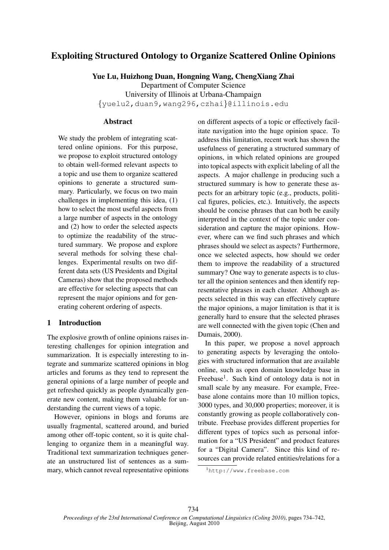# Exploiting Structured Ontology to Organize Scattered Online Opinions

Yue Lu, Huizhong Duan, Hongning Wang, ChengXiang Zhai

Department of Computer Science University of Illinois at Urbana-Champaign {yuelu2,duan9,wang296,czhai}@illinois.edu

# Abstract

We study the problem of integrating scattered online opinions. For this purpose, we propose to exploit structured ontology to obtain well-formed relevant aspects to a topic and use them to organize scattered opinions to generate a structured summary. Particularly, we focus on two main challenges in implementing this idea, (1) how to select the most useful aspects from a large number of aspects in the ontology and (2) how to order the selected aspects to optimize the readability of the structured summary. We propose and explore several methods for solving these challenges. Experimental results on two different data sets (US Presidents and Digital Cameras) show that the proposed methods are effective for selecting aspects that can represent the major opinions and for generating coherent ordering of aspects.

# 1 Introduction

The explosive growth of online opinions raises interesting challenges for opinion integration and summarization. It is especially interesting to integrate and summarize scattered opinions in blog articles and forums as they tend to represent the general opinions of a large number of people and get refreshed quickly as people dynamically generate new content, making them valuable for understanding the current views of a topic.

However, opinions in blogs and forums are usually fragmental, scattered around, and buried among other off-topic content, so it is quite challenging to organize them in a meaningful way. Traditional text summarization techniques generate an unstructured list of sentences as a summary, which cannot reveal representative opinions

on different aspects of a topic or effectively facilitate navigation into the huge opinion space. To address this limitation, recent work has shown the usefulness of generating a structured summary of opinions, in which related opinions are grouped into topical aspects with explicit labeling of all the aspects. A major challenge in producing such a structured summary is how to generate these aspects for an arbitrary topic (e.g., products, political figures, policies, etc.). Intuitively, the aspects should be concise phrases that can both be easily interpreted in the context of the topic under consideration and capture the major opinions. However, where can we find such phrases and which phrases should we select as aspects? Furthermore, once we selected aspects, how should we order them to improve the readability of a structured summary? One way to generate aspects is to cluster all the opinion sentences and then identify representative phrases in each cluster. Although aspects selected in this way can effectively capture the major opinions, a major limitation is that it is generally hard to ensure that the selected phrases are well connected with the given topic (Chen and Dumais, 2000).

In this paper, we propose a novel approach to generating aspects by leveraging the ontologies with structured information that are available online, such as open domain knowledge base in Freebase<sup>1</sup>. Such kind of ontology data is not in small scale by any measure. For example, Freebase alone contains more than 10 million topics, 3000 types, and 30,000 properties; moreover, it is constantly growing as people collaboratively contribute. Freebase provides different properties for different types of topics such as personal information for a "US President" and product features for a "Digital Camera". Since this kind of resources can provide related entities/relations for a

<sup>1</sup>http://www.freebase.com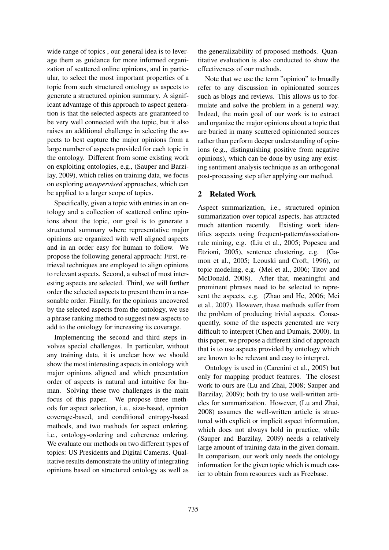wide range of topics , our general idea is to leverage them as guidance for more informed organization of scattered online opinions, and in particular, to select the most important properties of a topic from such structured ontology as aspects to generate a structured opinion summary. A significant advantage of this approach to aspect generation is that the selected aspects are guaranteed to be very well connected with the topic, but it also raises an additional challenge in selecting the aspects to best capture the major opinions from a large number of aspects provided for each topic in the ontology. Different from some existing work on exploiting ontologies, e.g., (Sauper and Barzilay, 2009), which relies on training data, we focus on exploring *unsupervised* approaches, which can be applied to a larger scope of topics.

Specifically, given a topic with entries in an ontology and a collection of scattered online opinions about the topic, our goal is to generate a structured summary where representative major opinions are organized with well aligned aspects and in an order easy for human to follow. We propose the following general approach: First, retrieval techniques are employed to align opinions to relevant aspects. Second, a subset of most interesting aspects are selected. Third, we will further order the selected aspects to present them in a reasonable order. Finally, for the opinions uncovered by the selected aspects from the ontology, we use a phrase ranking method to suggest new aspects to add to the ontology for increasing its coverage.

Implementing the second and third steps involves special challenges. In particular, without any training data, it is unclear how we should show the most interesting aspects in ontology with major opinions aligned and which presentation order of aspects is natural and intuitive for human. Solving these two challenges is the main focus of this paper. We propose three methods for aspect selection, i.e., size-based, opinion coverage-based, and conditional entropy-based methods, and two methods for aspect ordering, i.e., ontology-ordering and coherence ordering. We evaluate our methods on two different types of topics: US Presidents and Digital Cameras. Qualitative results demonstrate the utility of integrating opinions based on structured ontology as well as the generalizability of proposed methods. Quantitative evaluation is also conducted to show the effectiveness of our methods.

Note that we use the term "opinion" to broadly refer to any discussion in opinionated sources such as blogs and reviews. This allows us to formulate and solve the problem in a general way. Indeed, the main goal of our work is to extract and organize the major opinions about a topic that are buried in many scattered opinionated sources rather than perform deeper understanding of opinions (e.g., distinguishing positive from negative opinions), which can be done by using any existing sentiment analysis technique as an orthogonal post-processing step after applying our method.

# 2 Related Work

Aspect summarization, i.e., structured opinion summarization over topical aspects, has attracted much attention recently. Existing work identifies aspects using frequent-pattern/associationrule mining, e.g. (Liu et al., 2005; Popescu and Etzioni, 2005), sentence clustering, e.g. (Gamon et al., 2005; Leouski and Croft, 1996), or topic modeling, e.g. (Mei et al., 2006; Titov and McDonald, 2008). After that, meaningful and prominent phrases need to be selected to represent the aspects, e.g. (Zhao and He, 2006; Mei et al., 2007). However, these methods suffer from the problem of producing trivial aspects. Consequently, some of the aspects generated are very difficult to interpret (Chen and Dumais, 2000). In this paper, we propose a different kind of approach that is to use aspects provided by ontology which are known to be relevant and easy to interpret.

Ontology is used in (Carenini et al., 2005) but only for mapping product features. The closest work to ours are (Lu and Zhai, 2008; Sauper and Barzilay, 2009); both try to use well-written articles for summarization. However, (Lu and Zhai, 2008) assumes the well-written article is structured with explicit or implicit aspect information, which does not always hold in practice, while (Sauper and Barzilay, 2009) needs a relatively large amount of training data in the given domain. In comparison, our work only needs the ontology information for the given topic which is much easier to obtain from resources such as Freebase.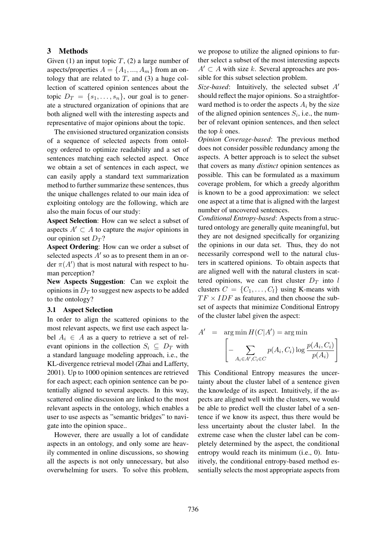## 3 Methods

Given (1) an input topic  $T$ , (2) a large number of aspects/properties  $A = \{A_1, ..., A_m\}$  from an ontology that are related to  $T$ , and (3) a huge collection of scattered opinion sentences about the topic  $D_T = \{s_1, \ldots, s_n\}$ , our goal is to generate a structured organization of opinions that are both aligned well with the interesting aspects and representative of major opinions about the topic.

The envisioned structured organization consists of a sequence of selected aspects from ontology ordered to optimize readability and a set of sentences matching each selected aspect. Once we obtain a set of sentences in each aspect, we can easily apply a standard text summarization method to further summarize these sentences, thus the unique challenges related to our main idea of exploiting ontology are the following, which are also the main focus of our study:

Aspect Selection: How can we select a subset of aspects  $A' \subset A$  to capture the *major* opinions in our opinion set  $D_T$ ?

Aspect Ordering: How can we order a subset of selected aspects  $A'$  so as to present them in an order  $\pi(A')$  that is most natural with respect to human perception?

New Aspects Suggestion: Can we exploit the opinions in  $D_T$  to suggest new aspects to be added to the ontology?

## 3.1 Aspect Selection

In order to align the scattered opinions to the most relevant aspects, we first use each aspect label  $A_i \in A$  as a query to retrieve a set of relevant opinions in the collection  $S_i \subseteq D_T$  with a standard language modeling approach, i.e., the KL-divergence retrieval model (Zhai and Lafferty, 2001). Up to 1000 opinion sentences are retrieved for each aspect; each opinion sentence can be potentially aligned to several aspects. In this way, scattered online discussion are linked to the most relevant aspects in the ontology, which enables a user to use aspects as "semantic bridges" to navigate into the opinion space..

However, there are usually a lot of candidate aspects in an ontology, and only some are heavily commented in online discussions, so showing all the aspects is not only unnecessary, but also overwhelming for users. To solve this problem,

we propose to utilize the aligned opinions to further select a subset of the most interesting aspects  $A' \subset A$  with size k. Several approaches are possible for this subset selection problem.

*Size-based*: Intuitively, the selected subset  $A'$ should reflect the major opinions. So a straightforward method is to order the aspects  $A_i$  by the size of the aligned opinion sentences  $S_i$ , i.e., the number of relevant opinion sentences, and then select the top  $k$  ones.

*Opinion Coverage-based*: The previous method does not consider possible redundancy among the aspects. A better approach is to select the subset that covers as many *distinct* opinion sentences as possible. This can be formulated as a maximum coverage problem, for which a greedy algorithm is known to be a good approximation: we select one aspect at a time that is aligned with the largest number of uncovered sentences.

*Conditional Entropy-based*: Aspects from a structured ontology are generally quite meaningful, but they are not designed specifically for organizing the opinions in our data set. Thus, they do not necessarily correspond well to the natural clusters in scattered opinions. To obtain aspects that are aligned well with the natural clusters in scattered opinions, we can first cluster  $D_T$  into l clusters  $C = \{C_1, \ldots, C_l\}$  using K-means with  $TF \times IDF$  as features, and then choose the subset of aspects that minimize Conditional Entropy of the cluster label given the aspect:

$$
A' = \arg\min H(C|A') = \arg\min \left[ -\sum_{A_i \in A', C_i \in C} p(A_i, C_i) \log \frac{p(A_i, C_i)}{p(A_i)} \right]
$$

This Conditional Entropy measures the uncertainty about the cluster label of a sentence given the knowledge of its aspect. Intuitively, if the aspects are aligned well with the clusters, we would be able to predict well the cluster label of a sentence if we know its aspect, thus there would be less uncertainty about the cluster label. In the extreme case when the cluster label can be completely determined by the aspect, the conditional entropy would reach its minimum (i.e., 0). Intuitively, the conditional entropy-based method essentially selects the most appropriate aspects from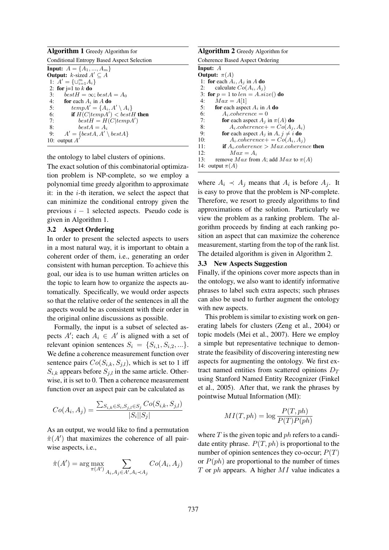Algorithm 1 Greedy Algorithm for Conditional Entropy Based Aspect Selection **Input:**  $A = \{A_1, ..., A_m\}$ **Output:**  $k$ -sized  $A' \subseteq A$ 1:  $A' = \{\cup_{i=1}^{m} A_i\}$ 2: for  $j=1$  to  $k$  do 3:  $bestH = \infty$ ;  $bestA = A_0$ <br>4: **for** each  $A_i$  in A **do** 4: **for** each  $A_i$  in  $A$  **do**<br>5: **temp** $A' = \{A_i\}$ 5:  $tempA' = \{A_i, A' \setminus A_i\}$ 6: **if**  $H(C|tempA') < bestH$  then 7: best  $H = H(C|tempA')$ 8: best  $A = A_i$ <br>9:  $A' = \{best A, A'\}$ 9:  $A' = \{bestA, A' \setminus bestA\}$ 10: output  $A'$ 

the ontology to label clusters of opinions.

The exact solution of this combinatorial optimization problem is NP-complete, so we employ a polynomial time greedy algorithm to approximate it: in the  $i$ -th iteration, we select the aspect that can minimize the conditional entropy given the previous  $i - 1$  selected aspects. Pseudo code is given in Algorithm 1.

# 3.2 Aspect Ordering

In order to present the selected aspects to users in a most natural way, it is important to obtain a coherent order of them, i.e., generating an order consistent with human perception. To achieve this goal, our idea is to use human written articles on the topic to learn how to organize the aspects automatically. Specifically, we would order aspects so that the relative order of the sentences in all the aspects would be as consistent with their order in the original online discussions as possible.

Formally, the input is a subset of selected aspects  $A'$ ; each  $A_i \in A'$  is aligned with a set of relevant opinion sentences  $S_i = \{S_{i,1}, S_{i,2}, ...\}.$ We define a coherence measurement function over sentence pairs  $Co(S_{i,k}, S_{j,l})$ , which is set to 1 iff  $S_{i,k}$  appears before  $S_{i,l}$  in the same article. Otherwise, it is set to 0. Then a coherence measurement function over an aspect pair can be calculated as

$$
Co(A_i, A_j) = \frac{\sum_{S_{i,k} \in S_i, S_{j,l} \in S_j} Co(S_{i,k}, S_{j,l})}{|S_i||S_j|}
$$

As an output, we would like to find a permutation  $\hat{\pi}(A')$  that maximizes the coherence of all pairwise aspects, i.e.,

$$
\hat{\pi}(A') = \arg \max_{\pi(A')} \sum_{A_i, A_j \in A', A_i \prec A_j} Co(A_i, A_j)
$$

Algorithm 2 Greedy Algorithm for Coherence Based Aspect Ordering Input: A Output:  $\pi(A)$ 1: for each  $A_i$ ,  $A_j$  in A do 2: calculate  $Co(A_i, A_j)$ 3: for  $p = 1$  to  $len = A.size()$  do<br>4.  $Max = A[1]$ 4:  $Max = A[1]$ <br>5: **for** each aspect for each aspect  $A_i$  in A do 6:  $A_i.coherence = 0$ <br>7: **for** each aspect  $A_i$  i 7: **for** each aspect  $A_j$  in  $\pi(A)$  **do**<br>8:  $A_i \cdot \text{coherence} + C_o(A_i)$ 8:  $A_i.cohenence += Co(A_i, A_i)$ <br>9: **for** each aspect  $A_i$  in  $A_i \neq i$  **do** 9: **for** each aspect  $A_j$  in  $A, j \neq i$  **do**<br>10:  $A_i.cotherence += Co(A_i, A_j)$ 10:  $A_i.coherence + = Co(A_i, A_j)$ <br>11: **if**  $A_i.coherence > Max.coheren$ 11: **if**  $A_i$  coherence > Max.coherence **then**<br>12:  $Max = A_i$ 12:  $Max = A_i$ <br>13: remove  $Max$  from remove  $Max$  from A; add  $Max$  to  $\pi(A)$ 14: output  $\pi(A)$ 

where  $A_i \prec A_j$  means that  $A_i$  is before  $A_j$ . It is easy to prove that the problem is NP-complete. Therefore, we resort to greedy algorithms to find approximations of the solution. Particularly we view the problem as a ranking problem. The algorithm proceeds by finding at each ranking position an aspect that can maximize the coherence measurement, starting from the top of the rank list. The detailed algorithm is given in Algorithm 2.

# 3.3 New Aspects Suggestion

Finally, if the opinions cover more aspects than in the ontology, we also want to identify informative phrases to label such extra aspects; such phrases can also be used to further augment the ontology with new aspects.

This problem is similar to existing work on generating labels for clusters (Zeng et al., 2004) or topic models (Mei et al., 2007). Here we employ a simple but representative technique to demonstrate the feasibility of discovering interesting new aspects for augmenting the ontology. We first extract named entities from scattered opinions  $D_T$ using Stanford Named Entity Recognizer (Finkel et al., 2005). After that, we rank the phrases by pointwise Mutual Information (MI):

$$
MI(T, ph) = \log \frac{P(T, ph)}{P(T)P(ph)}
$$

where  $T$  is the given topic and  $ph$  refers to a candidate entity phrase.  $P(T, ph)$  is proportional to the number of opinion sentences they co-occur;  $P(T)$ or  $P(ph)$  are proportional to the number of times  $T$  or ph appears. A higher  $MI$  value indicates a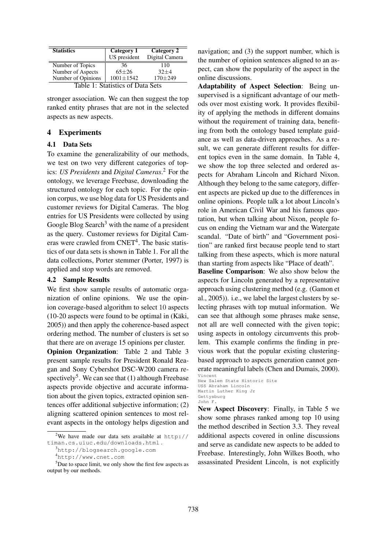| <b>Statistics</b>               | Category 1      | Category 2     |  |  |  |  |  |
|---------------------------------|-----------------|----------------|--|--|--|--|--|
|                                 | US president    | Digital Camera |  |  |  |  |  |
| Number of Topics                | 36              | 110            |  |  |  |  |  |
| Number of Aspects               | $65 + 26$       | $32+4$         |  |  |  |  |  |
| Number of Opinions              | $1001 \pm 1542$ | $170 + 249$    |  |  |  |  |  |
| $\sim$ $\sim$<br>$\sim$<br>— 11 |                 |                |  |  |  |  |  |

stronger association. We can then suggest the top ranked entity phrases that are not in the selected aspects as new aspects.

## 4 Experiments

#### 4.1 Data Sets

To examine the generalizability of our methods, we test on two very different categories of topics: *US Presidents* and *Digital Cameras*. <sup>2</sup> For the ontology, we leverage Freebase, downloading the structured ontology for each topic. For the opinion corpus, we use blog data for US Presidents and customer reviews for Digital Cameras. The blog entries for US Presidents were collected by using Google Blog Search<sup>3</sup> with the name of a president as the query. Customer reviews for Digital Cameras were crawled from CNET<sup>4</sup>. The basic statistics of our data sets is shown in Table 1. For all the data collections, Porter stemmer (Porter, 1997) is applied and stop words are removed.

#### 4.2 Sample Results

We first show sample results of automatic organization of online opinions. We use the opinion coverage-based algorithm to select 10 aspects  $(10-20)$  aspects were found to be optimal in  $(Ka^2)$ , 2005)) and then apply the coherence-based aspect ordering method. The number of clusters is set so that there are on average 15 opinions per cluster.

Opinion Organization: Table 2 and Table 3 present sample results for President Ronald Reagan and Sony Cybershot DSC-W200 camera respectively<sup>5</sup>. We can see that  $(1)$  although Freebase aspects provide objective and accurate information about the given topics, extracted opinion sentences offer additional subjective information; (2) aligning scattered opinion sentences to most relevant aspects in the ontology helps digestion and navigation; and (3) the support number, which is the number of opinion sentences aligned to an aspect, can show the popularity of the aspect in the online discussions.

Adaptability of Aspect Selection: Being unsupervised is a significant advantage of our methods over most existing work. It provides flexibility of applying the methods in different domains without the requirement of training data, benefiting from both the ontology based template guidance as well as data-driven approaches. As a result, we can generate different results for different topics even in the same domain. In Table 4, we show the top three selected and ordered aspects for Abraham Lincoln and Richard Nixon. Although they belong to the same category, different aspects are picked up due to the differences in online opinions. People talk a lot about Lincoln's role in American Civil War and his famous quotation, but when talking about Nixon, people focus on ending the Vietnam war and the Watergate scandal. "Date of birth" and "Government position" are ranked first because people tend to start talking from these aspects, which is more natural than starting from aspects like "Place of death".

Baseline Comparison: We also show below the aspects for Lincoln generated by a representative approach using clustering method (e.g. (Gamon et al., 2005)). i.e., we label the largest clusters by selecting phrases with top mutual information. We can see that although some phrases make sense, not all are well connected with the given topic; using aspects in ontology circumvents this problem. This example confirms the finding in previous work that the popular existing clusteringbased approach to aspects generation cannot generate meaningful labels (Chen and Dumais, 2000). Vincent

New Aspect Discovery: Finally, in Table 5 we show some phrases ranked among top 10 using the method described in Section 3.3. They reveal additional aspects covered in online discussions and serve as candidate new aspects to be added to Freebase. Interestingly, John Wilkes Booth, who assassinated President Lincoln, is not explicitly

<sup>&</sup>lt;sup>2</sup>We have made our data sets available at http:// timan.cs.uiuc.edu/downloads.html .

<sup>3</sup>http://blogsearch.google.com

<sup>4</sup>http://www.cnet.com

<sup>5</sup>Due to space limit, we only show the first few aspects as output by our methods.

New Salem State Historic Site USS Abraham Lincoln Martin Luther King Jr Gettysburg John F.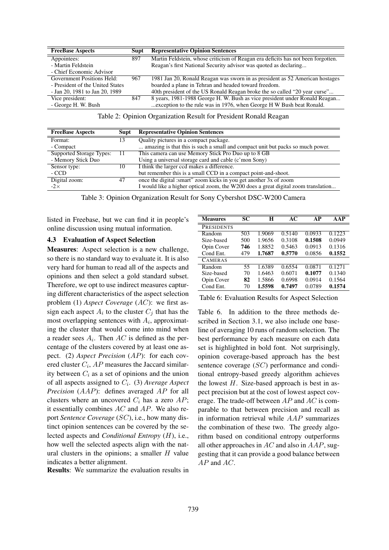| <b>FreeBase Aspects</b>          | Supt | <b>Representative Opinion Sentences</b>                                          |
|----------------------------------|------|----------------------------------------------------------------------------------|
| Appointees:                      | 897  | Martin Feldstein, whose criticism of Reagan era deficits has not been forgotten. |
| - Martin Feldstein               |      | Reagan's first National Security advisor was quoted as declaring                 |
| - Chief Economic Advisor         |      |                                                                                  |
| Government Positions Held:       | 967  | 1981 Jan 20, Ronald Reagan was sworn in as president as 52 American hostages     |
| - President of the United States |      | boarded a plane in Tehran and headed toward freedom.                             |
| - Jan 20, 1981 to Jan 20, 1989   |      | 40th president of the US Ronald Reagan broke the so called "20 year curse"       |
| Vice president:                  | 847  | 8 years, 1981-1988 George H. W. Bush as vice president under Ronald Reagan       |
| - George H. W. Bush              |      | exception to the rule was in 1976, when George H W Bush beat Ronald.             |

Table 2: Opinion Organization Result for President Ronald Reagan

| <b>FreeBase Aspects</b>  | Supt | <b>Representative Opinion Sentences</b>                                            |
|--------------------------|------|------------------------------------------------------------------------------------|
| Format:                  | 13   | Quality pictures in a compact package.                                             |
| - Compact                |      | amazing is that this is such a small and compact unit but packs so much power.     |
| Supported Storage Types: |      | This camera can use Memory Stick Pro Duo up to 8 GB                                |
| - Memory Stick Duo       |      | Using a universal storage card and cable (c'mon Sony)                              |
| Sensor type:             | 10   | I think the larger ccd makes a difference.                                         |
| - CCD                    |      | but remember this is a small CCD in a compact point-and-shoot.                     |
| Digital zoom:            | 47   | once the digital :smart" zoom kicks in you get another 3x of zoom                  |
| $-2\times$               |      | I would like a higher optical zoom, the W200 does a great digital zoom translation |

Table 3: Opinion Organization Result for Sony Cybershot DSC-W200 Camera

ċ

listed in Freebase, but we can find it in people's online discussion using mutual information.

#### 4.3 Evaluation of Aspect Selection

Measures: Aspect selection is a new challenge, so there is no standard way to evaluate it. It is also very hard for human to read all of the aspects and opinions and then select a gold standard subset. Therefore, we opt to use indirect measures capturing different characteristics of the aspect selection problem (1) *Aspect Coverage* (AC): we first assign each aspect  $A_i$  to the cluster  $C_j$  that has the most overlapping sentences with  $A_i$ , approximating the cluster that would come into mind when a reader sees  $A_i$ . Then  $AC$  is defined as the percentage of the clusters covered by at least one aspect. (2) *Aspect Precision* (AP): for each covered cluster  $C_i$ ,  $AP$  measures the Jaccard similarity between  $C_i$  as a set of opinions and the union of all aspects assigned to  $C_i$ . (3) *Average Aspect Precision* (AAP): defines averaged AP for all clusters where an uncovered  $C_i$  has a zero  $AP$ ; it essentially combines  $AC$  and  $AP$ . We also report *Sentence Coverage* (SC), i.e., how many distinct opinion sentences can be covered by the selected aspects and *Conditional Entropy* (H), i.e., how well the selected aspects align with the natural clusters in the opinions; a smaller  $H$  value indicates a better alignment.

Results: We summarize the evaluation results in

| <b>Measures</b>   | SС  | H      | АC     | AР     | AAP    |
|-------------------|-----|--------|--------|--------|--------|
| <b>PRESIDENTS</b> |     |        |        |        |        |
| Random            | 503 | 1.9069 | 0.5140 | 0.0933 | 0.1223 |
| Size-based        | 500 | 1.9656 | 0.3108 | 0.1508 | 0.0949 |
| Opin Cover        | 746 | 1.8852 | 0.5463 | 0.0913 | 0.1316 |
| Cond Ent.         | 479 | 1.7687 | 0.5770 | 0.0856 | 0.1552 |
| <b>CAMERAS</b>    |     |        |        |        |        |
| Random            | 55  | 1.6389 | 0.6554 | 0.0871 | 0.1271 |
| Size-based        | 70  | 1.6463 | 0.6071 | 0.1077 | 0.1340 |
| Opin Cover        | 82  | 1.5866 | 0.6998 | 0.0914 | 0.1564 |
| Cond Ent.         | 70  | 1.5598 | 0.7497 | 0.0789 | 0.1574 |

Table 6: Evaluation Results for Aspect Selection

Table 6. In addition to the three methods described in Section 3.1, we also include one baseline of averaging 10 runs of random selection. The best performance by each measure on each data set is highlighted in bold font. Not surprisingly, opinion coverage-based approach has the best sentence coverage (SC) performance and conditional entropy-based greedy algorithm achieves the lowest  $H$ . Size-based approach is best in aspect precision but at the cost of lowest aspect coverage. The trade-off between  $AP$  and  $AC$  is comparable to that between precision and recall as in information retrieval while AAP summarizes the combination of these two. The greedy algorithm based on conditional entropy outperforms all other approaches in  $AC$  and also in  $AAP$ , suggesting that it can provide a good balance between AP and AC.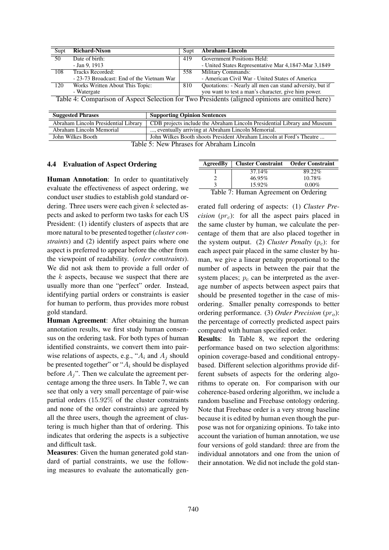| Supt                                                                                           | <b>Richard-Nixon</b>                      | Supt | Abraham-Lincoln                                          |  |  |
|------------------------------------------------------------------------------------------------|-------------------------------------------|------|----------------------------------------------------------|--|--|
| $\overline{50}$                                                                                | Date of birth:                            | 419  | Government Positions Held:                               |  |  |
|                                                                                                | $-$ Jan 9, 1913                           |      | - United States Representative Mar 4,1847-Mar 3,1849     |  |  |
| 108                                                                                            | Tracks Recorded:                          | 558  | Military Commands:                                       |  |  |
|                                                                                                | - 23-73 Broadcast: End of the Vietnam War |      | - American Civil War - United States of America          |  |  |
| 120                                                                                            | Works Written About This Topic:           | 810  | Quotations: - Nearly all men can stand adversity, but if |  |  |
|                                                                                                | - Watergate                               |      | you want to test a man's character, give him power.      |  |  |
| Table 4: Comparison of Aspect Selection for Two Presidents (aligned opinions are omitted here) |                                           |      |                                                          |  |  |

| <b>Suggested Phrases</b>                 | <b>Supporting Opinion Sentences</b>                                      |  |  |  |
|------------------------------------------|--------------------------------------------------------------------------|--|--|--|
| Abraham Lincoln Presidential Library     | CDB projects include the Abraham Lincoln Presidential Library and Museum |  |  |  |
| Abraham Lincoln Memorial                 | , eventually arriving at Abraham Lincoln Memorial.                       |  |  |  |
| John Wilkes Booth                        | John Wilkes Booth shoots President Abraham Lincoln at Ford's Theatre     |  |  |  |
| Table 5: New Phrases for Abraham Lincoln |                                                                          |  |  |  |

#### 4.4 Evaluation of Aspect Ordering

Human Annotation: In order to quantitatively evaluate the effectiveness of aspect ordering, we conduct user studies to establish gold standard ordering. Three users were each given  $k$  selected aspects and asked to perform two tasks for each US President: (1) identify clusters of aspects that are more natural to be presented together (*cluster constraints*) and (2) identify aspect pairs where one aspect is preferred to appear before the other from the viewpoint of readability. (*order constraints*). We did not ask them to provide a full order of the  $k$  aspects, because we suspect that there are usually more than one "perfect" order. Instead, identifying partial orders or constraints is easier for human to perform, thus provides more robust gold standard.

Human Agreement: After obtaining the human annotation results, we first study human consensus on the ordering task. For both types of human identified constraints, we convert them into pairwise relations of aspects, e.g., " $A_i$  and  $A_j$  should be presented together" or " $A_i$  should be displayed before  $A_i$ ". Then we calculate the agreement percentage among the three users. In Table 7, we can see that only a very small percentage of pair-wise partial orders (15.92% of the cluster constraints and none of the order constraints) are agreed by all the three users, though the agreement of clustering is much higher than that of ordering. This indicates that ordering the aspects is a subjective and difficult task.

Measures: Given the human generated gold standard of partial constraints, we use the following measures to evaluate the automatically gen-

| AgreedBy                             | <b>Cluster Constraint</b> Order Constraint |          |  |  |  |
|--------------------------------------|--------------------------------------------|----------|--|--|--|
|                                      | 37.14%                                     | 89.22%   |  |  |  |
|                                      | 46.95%                                     | 10.78%   |  |  |  |
|                                      | 15.92%                                     | $0.00\%$ |  |  |  |
| Table 7: Human Agreement on Ordering |                                            |          |  |  |  |

erated full ordering of aspects: (1) *Cluster Precision*  $(pr<sub>c</sub>)$ : for all the aspect pairs placed in the same cluster by human, we calculate the percentage of them that are also placed together in the system output. (2) *Cluster Penalty*  $(p_c)$ : for each aspect pair placed in the same cluster by human, we give a linear penalty proportional to the number of aspects in between the pair that the system places;  $p_c$  can be interpreted as the average number of aspects between aspect pairs that should be presented together in the case of misordering. Smaller penalty corresponds to better ordering performance. (3) *Order Precision*  $(pr<sub>o</sub>)$ : the percentage of correctly predicted aspect pairs compared with human specified order.

Results: In Table 8, we report the ordering performance based on two selection algorithms: opinion coverage-based and conditional entropybased. Different selection algorithms provide different subsets of aspects for the ordering algorithms to operate on. For comparison with our coherence-based ordering algorithm, we include a random baseline and Freebase ontology ordering. Note that Freebase order is a very strong baseline because it is edited by human even though the purpose was not for organizing opinions. To take into account the variation of human annotation, we use four versions of gold standard: three are from the individual annotators and one from the union of their annotation. We did not include the gold stan-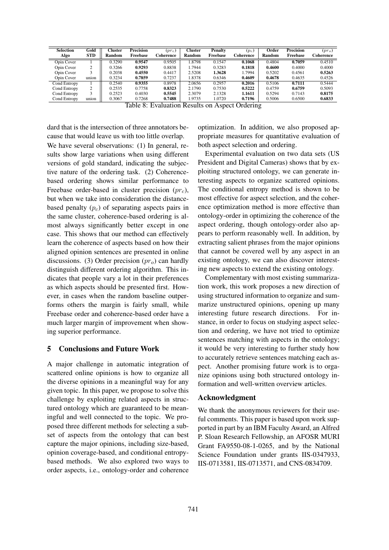| <b>Selection</b>    | Gold       | Cluster | <b>Precision</b> | $(pr_c)$  | Cluster       | <b>Penalty</b> | $(p_c)$   | Order         | <b>Precision</b> | $(pr_o)$  |
|---------------------|------------|---------|------------------|-----------|---------------|----------------|-----------|---------------|------------------|-----------|
| Algo                | <b>STD</b> | Random  | Freebase         | Coherence | <b>Random</b> | Freebase       | Coherence | <b>Random</b> | Freebase         | Coherence |
| Opin Cover          |            | 0.3290  | 0.9547           | 0.9505    | 1.8798        | 0.1547         | 0.1068    | 0.4804        | 0.7059           | 0.4510    |
| Opin Cover          | ↑          | 0.3266  | 0.9293           | 0.8838    | 1.7944        | 0.3283         | 0.1818    | 0.4600        | 0.4000           | 0.4000    |
| Opin Cover          |            | 0.2038  | 0.4550           | 0.4417    | 2.5208        | 1.3628         | .7994     | 0.5202        | 0.4561           | 0.5263    |
| Opin Cover          | union      | 0.3234  | 0.7859           | 0.7237    | 1.8378        | 0.6346         | 0.4609    | 0.4678        | 0.4635           | 0.4526    |
| Cond Entropy        |            | 0.2540  | 0.9355           | 0.8978    | 2.0656        | 0.2957         | 0.2016    | 0.5106        | 0.7111           | 0.5444    |
| Cond Entropy        | ↑          | 0.2535  | 0.7758           | 0.8323    | 2.1790        | 0.7530         | 0.5222    | 0.4759        | 0.6759           | 0.5093    |
| Cond Entropy        |            | 0.2523  | 0.4030           | 0.5545    | 2.3079        | 2.1328         | 1.1611    | 0.5294        | 0.7143           | 0.8175    |
| <b>Cond Entropy</b> | union      | 0.3067  | 0.7268           | 0.7488    | 1.9735        | 1.0720         | 0.7196    | 0.5006        | 0.6500           | 0.6833    |

dard that is the intersection of three annotators because that would leave us with too little overlap. We have several observations: (1) In general, results show large variations when using different versions of gold standard, indicating the subjective nature of the ordering task. (2) Coherencebased ordering shows similar performance to Freebase order-based in cluster precision  $(pr<sub>c</sub>)$ , but when we take into consideration the distancebased penalty  $(p<sub>c</sub>)$  of separating aspects pairs in the same cluster, coherence-based ordering is almost always significantly better except in one case. This shows that our method can effectively learn the coherence of aspects based on how their aligned opinion sentences are presented in online discussions. (3) Order precision  $(pr<sub>o</sub>)$  can hardly distinguish different ordering algorithm. This indicates that people vary a lot in their preferences as which aspects should be presented first. However, in cases when the random baseline outperforms others the margin is fairly small, while Freebase order and coherence-based order have a much larger margin of improvement when showing superior performance.

# 5 Conclusions and Future Work

A major challenge in automatic integration of scattered online opinions is how to organize all the diverse opinions in a meaningful way for any given topic. In this paper, we propose to solve this challenge by exploiting related aspects in structured ontology which are guaranteed to be meaningful and well connected to the topic. We proposed three different methods for selecting a subset of aspects from the ontology that can best capture the major opinions, including size-based, opinion coverage-based, and conditional entropybased methods. We also explored two ways to order aspects, i.e., ontology-order and coherence

optimization. In addition, we also proposed appropriate measures for quantitative evaluation of both aspect selection and ordering.

Experimental evaluation on two data sets (US President and Digital Cameras) shows that by exploiting structured ontology, we can generate interesting aspects to organize scattered opinions. The conditional entropy method is shown to be most effective for aspect selection, and the coherence optimization method is more effective than ontology-order in optimizing the coherence of the aspect ordering, though ontology-order also appears to perform reasonably well. In addition, by extracting salient phrases from the major opinions that cannot be covered well by any aspect in an existing ontology, we can also discover interesting new aspects to extend the existing ontology.

Complementary with most existing summarization work, this work proposes a new direction of using structured information to organize and summarize unstructured opinions, opening up many interesting future research directions. For instance, in order to focus on studying aspect selection and ordering, we have not tried to optimize sentences matching with aspects in the ontology; it would be very interesting to further study how to accurately retrieve sentences matching each aspect. Another promising future work is to organize opinions using both structured ontology information and well-written overview articles.

### Acknowledgment

We thank the anonymous reviewers for their useful comments. This paper is based upon work supported in part by an IBM Faculty Award, an Alfred P. Sloan Research Fellowship, an AFOSR MURI Grant FA9550-08-1-0265, and by the National Science Foundation under grants IIS-0347933, IIS-0713581, IIS-0713571, and CNS-0834709.